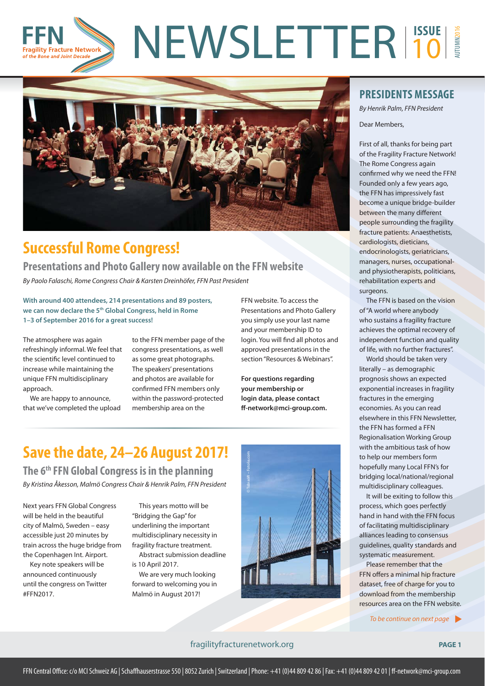#### NEWSLETTER<sup>1550E</sup> AUTUMN2016 10 gility Fracture Network of the Bone and Joint Decad



## **Successful Rome Congress!**

### **Presentations and Photo Gallery now available on the FFN website**

By Paolo Falaschi, Rome Congress Chair & Karsten Dreinhöfer, FFN Past President

**With around 400 attendees, 214 presentations and 89 posters, we can now declare the 5th Global Congress, held in Rome 1–3 of September 2016 for a great success!**

The atmosphere was again refreshingly informal. We feel that the scientific level continued to increase while maintaining the unique FFN multidisciplinary approach.

We are happy to announce, that we've completed the upload

to the FFN member page of the congress presentations, as well as some great photographs. The speakers' presentations and photos are available for confirmed FFN members only within the password-protected membership area on the

FFN website. To access the Presentations and Photo Gallery you simply use your last name and your membership ID to login. You will find all photos and approved presentations in the section "Resources & Webinars".

**For questions regarding your membership or login data, please contact ff -network@mci-group.com.** 

# **Save the date, 24–26 August 2017!**

**The 6th FFN Global Congress is in the planning** By Kristina Åkesson, Malmö Congress Chair & Henrik Palm, FFN President

Next years FFN Global Congress will be held in the beautiful city of Malmö, Sweden – easy accessible just 20 minutes by train across the huge bridge from the Copenhagen Int. Airport.

Key note speakers will be announced continuously until the congress on Twitter #FFN2017.

This years motto will be "Bridging the Gap" for underlining the important multidisciplinary necessity in fragility fracture treatment.

Abstract submission deadline is 10 April 2017.

We are very much looking forward to welcoming you in Malmö in August 2017!



### **PRESIDENTS MESSAGE**

By Henrik Palm, FFN President

Dear Members,

First of all, thanks for being part of the Fragility Fracture Network! The Rome Congress again confirmed why we need the FFN! Founded only a few years ago, the FFN has impressively fast become a unique bridge-builder between the many different people surrounding the fragility fracture patients: Anaesthetists, cardiologists, dieticians, endocrinologists, geriatricians, managers, nurses, occupationaland physiotherapists, politicians, rehabilitation experts and surgeons.

The FFN is based on the vision of "A world where anybody who sustains a fragility fracture achieves the optimal recovery of independent function and quality of life, with no further fractures".

World should be taken very literally – as demographic prognosis shows an expected exponential increases in fragility fractures in the emerging economies. As you can read elsewhere in this FFN Newsletter, the FFN has formed a FFN Regionalisation Working Group with the ambitious task of how to help our members form hopefully many Local FFN's for bridging local/national/regional multidisciplinary colleagues.

It will be exiting to follow this process, which goes perfectly hand in hand with the FFN focus of facilitating multidisciplinary alliances leading to consensus guidelines, quality standards and systematic measurement.

Please remember that the FFN offers a minimal hip fracture dataset, free of charge for you to download from the membership resources area on the FFN website.

To be continue on next page

#### fragilityfracturenetwork.org **PAGE 1**